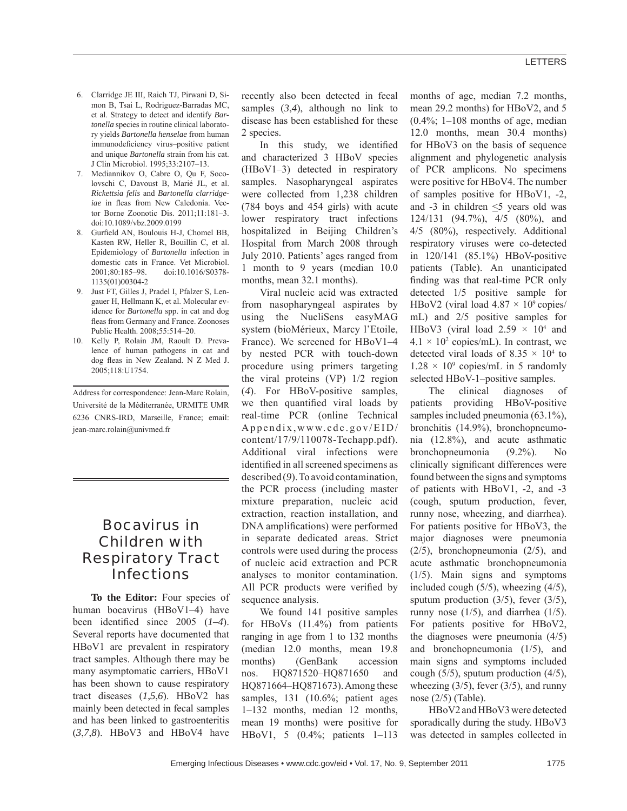- 6. Clarridge JE III, Raich TJ, Pirwani D, Simon B, Tsai L, Rodriguez-Barradas MC, et al. Strategy to detect and identify *Bartonella* species in routine clinical laboratory yields *Bartonella henselae* from human immunodeficiency virus-positive patient and unique *Bartonella* strain from his cat. J Clin Microbiol. 1995;33:2107–13.
- 7. Mediannikov O, Cabre O, Qu F, Socolovschi C, Davoust B, Marié JL, et al. *Rickettsia felis* and *Bartonella clarridge*iae in fleas from New Caledonia. Vector Borne Zoonotic Dis. 2011;11:181–3. doi:10.1089/vbz.2009.0199
- Gurfield AN, Boulouis H-J, Chomel BB, Kasten RW, Heller R, Bouillin C, et al. Epidemiology of *Bartonella* infection in domestic cats in France. Vet Microbiol. 2001;80:185–98. doi:10.1016/S0378- 1135(01)00304-2
- 9. Just FT, Gilles J, Pradel I, Pfalzer S, Lengauer H, Hellmann K, et al. Molecular evidence for *Bartonella* spp. in cat and dog fleas from Germany and France. Zoonoses Public Health. 2008;55:514–20.
- Kelly P, Rolain JM, Raoult D. Prevalence of human pathogens in cat and dog fleas in New Zealand. N Z Med J. 2005;118:U1754.

Address for correspondence: Jean-Marc Rolain, Université de la Méditerranée, URMITE UMR 6236 CNRS-IRD, Marseille, France; email: jean-marc.rolain@univmed.fr

# Bocavirus in Children with Respiratory Tract **Infections**

**To the Editor:** Four species of human bocavirus (HBoV1–4) have been identified since  $2005$   $(1-4)$ . Several reports have documented that HBoV1 are prevalent in respiratory tract samples. Although there may be many asymptomatic carriers, HBoV1 has been shown to cause respiratory tract diseases (*1*,*5*,*6*). HBoV2 has mainly been detected in fecal samples and has been linked to gastroenteritis (*3*,*7*,*8*). HBoV3 and HBoV4 have

recently also been detected in fecal samples  $(3,4)$ , although no link to disease has been established for these 2 species.

In this study, we identified and characterized 3 HBoV species (HBoV1–3) detected in respiratory samples. Nasopharyngeal aspirates were collected from 1,238 children (784 boys and 454 girls) with acute lower respiratory tract infections hospitalized in Beijing Children's Hospital from March 2008 through July 2010. Patients' ages ranged from 1 month to 9 years (median 10.0 months, mean 32.1 months).

Viral nucleic acid was extracted from nasopharyngeal aspirates by using the NucliSens easyMAG system (bioMérieux, Marcy l'Etoile, France). We screened for HBoV1–4 by nested PCR with touch-down procedure using primers targeting the viral proteins (VP) 1/2 region (*4*). For HBoV-positive samples, we then quantified viral loads by real-time PCR (online Technical Appendix,www.cdc.gov/EID/ content/17/9/110078-Techapp.pdf). Additional viral infections were identified in all screened specimens as described (*9*). To avoid contamination, the PCR process (including master mixture preparation, nucleic acid extraction, reaction installation, and DNA amplifications) were performed in separate dedicated areas. Strict controls were used during the process of nucleic acid extraction and PCR analyses to monitor contamination. All PCR products were verified by sequence analysis.

We found 141 positive samples for HBoVs (11.4%) from patients ranging in age from 1 to 132 months (median 12.0 months, mean 19.8 months) (GenBank accession nos. HQ871520–HQ871650 and HQ871664–HQ871673). Among these samples, 131 (10.6%; patient ages 1–132 months, median 12 months, mean 19 months) were positive for HBoV1, 5 (0.4%; patients 1–113

months of age, median 7.2 months, mean 29.2 months) for HBoV2, and 5  $(0.4\%; 1-108$  months of age, median 12.0 months, mean 30.4 months) for HBoV3 on the basis of sequence alignment and phylogenetic analysis of PCR amplicons. No specimens were positive for HBoV4. The number of samples positive for HBoV1, -2, and  $-3$  in children  $\leq 5$  years old was 124/131 (94.7%), 4/5 (80%), and 4/5 (80%), respectively. Additional respiratory viruses were co-detected in 120/141 (85.1%) HBoV-positive patients (Table). An unanticipated finding was that real-time PCR only detected 1/5 positive sample for HBoV2 (viral load  $4.87 \times 10^9$  copies/ mL) and 2/5 positive samples for HBoV3 (viral load  $2.59 \times 10^4$  and  $4.1 \times 10^2$  copies/mL). In contrast, we detected viral loads of  $8.35 \times 10^4$  to  $1.28 \times 10^9$  copies/mL in 5 randomly selected HBoV-1–positive samples.

The clinical diagnoses of patients providing HBoV-positive samples included pneumonia  $(63.1\%)$ , bronchitis (14.9%), bronchopneumonia (12.8%), and acute asthmatic bronchopneumonia (9.2%). No clinically significant differences were found between the signs and symptoms of patients with HBoV1, -2, and -3 (cough, sputum production, fever, runny nose, wheezing, and diarrhea). For patients positive for HBoV3, the major diagnoses were pneumonia (2/5), bronchopneumonia (2/5), and acute asthmatic bronchopneumonia (1/5). Main signs and symptoms included cough (5/5), wheezing (4/5), sputum production (3/5), fever (3/5), runny nose (1/5), and diarrhea (1/5). For patients positive for HBoV2, the diagnoses were pneumonia (4/5) and bronchopneumonia (1/5), and main signs and symptoms included cough  $(5/5)$ , sputum production  $(4/5)$ , wheezing  $(3/5)$ , fever  $(3/5)$ , and runny nose (2/5) (Table).

HBoV2 and HBoV3 were detected sporadically during the study. HBoV3 was detected in samples collected in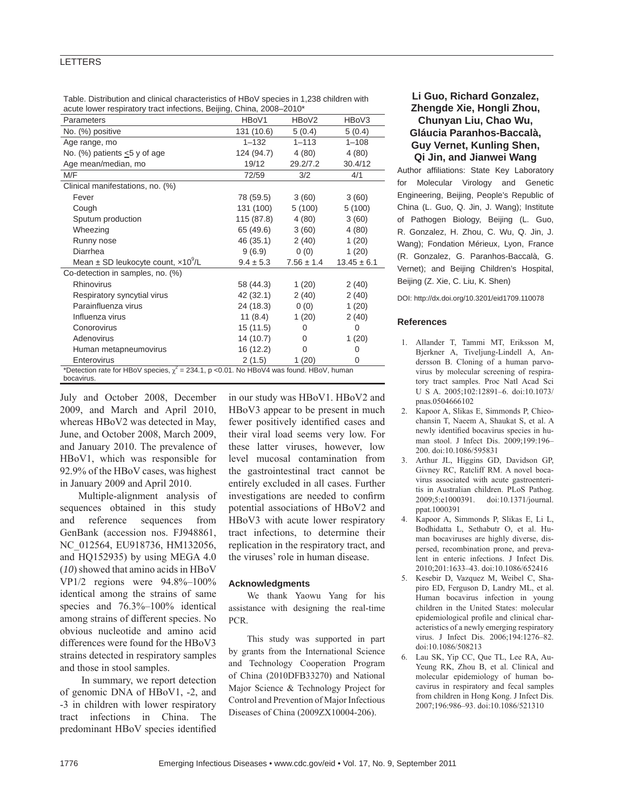#### LETTERS

| Table. Distribution and clinical characteristics of HBoV species in 1,238 children with |  |  |  |  |
|-----------------------------------------------------------------------------------------|--|--|--|--|
| acute lower respiratory tract infections, Beijing, China, 2008–2010*                    |  |  |  |  |

| Parameters                                                                                   | HBoV1         | HBoV2          | HBoV3           |  |  |  |  |  |
|----------------------------------------------------------------------------------------------|---------------|----------------|-----------------|--|--|--|--|--|
| No. (%) positive                                                                             | 131 (10.6)    | 5(0.4)         | 5(0.4)          |  |  |  |  |  |
| Age range, mo                                                                                | $1 - 132$     | $1 - 113$      | $1 - 108$       |  |  |  |  |  |
| No. (%) patients <5 y of age                                                                 | 124 (94.7)    | 4(80)          | 4(80)           |  |  |  |  |  |
| Age mean/median, mo                                                                          | 19/12         | 29.2/7.2       | 30.4/12         |  |  |  |  |  |
| M/F                                                                                          | 72/59         | 3/2            | 4/1             |  |  |  |  |  |
| Clinical manifestations, no. (%)                                                             |               |                |                 |  |  |  |  |  |
| Fever                                                                                        | 78 (59.5)     | 3(60)          | 3(60)           |  |  |  |  |  |
| Cough                                                                                        | 131 (100)     | 5 (100)        | 5(100)          |  |  |  |  |  |
| Sputum production                                                                            | 115 (87.8)    | 4(80)          | 3(60)           |  |  |  |  |  |
| Wheezing                                                                                     | 65 (49.6)     | 3(60)          | 4(80)           |  |  |  |  |  |
| Runny nose                                                                                   | 46 (35.1)     | 2(40)          | 1(20)           |  |  |  |  |  |
| Diarrhea                                                                                     | 9(6.9)        | 0(0)           | 1(20)           |  |  |  |  |  |
| Mean $\pm$ SD leukocyte count, $\times$ 10 <sup>9</sup> /L                                   | $9.4 \pm 5.3$ | $7.56 \pm 1.4$ | $13.45 \pm 6.1$ |  |  |  |  |  |
| Co-detection in samples, no. (%)                                                             |               |                |                 |  |  |  |  |  |
| Rhinovirus                                                                                   | 58 (44.3)     | 1(20)          | 2(40)           |  |  |  |  |  |
| Respiratory syncytial virus                                                                  | 42 (32.1)     | 2(40)          | 2(40)           |  |  |  |  |  |
| Parainfluenza virus                                                                          | 24 (18.3)     | 0(0)           | 1(20)           |  |  |  |  |  |
| Influenza virus                                                                              | 11 $(8.4)$    | 1(20)          | 2(40)           |  |  |  |  |  |
| Conorovirus                                                                                  | 15(11.5)      | 0              | 0               |  |  |  |  |  |
| Adenovirus                                                                                   | 14 (10.7)     | 0              | 1(20)           |  |  |  |  |  |
| Human metapneumovirus                                                                        | 16 (12.2)     | 0              | 0               |  |  |  |  |  |
| Enterovirus                                                                                  | 2(1.5)        | 1(20)          | 0               |  |  |  |  |  |
| *Detection rate for HBoV species, $\chi^2$ = 234.1, p <0.01. No HBoV4 was found. HBoV, human |               |                |                 |  |  |  |  |  |
| bocavirus.                                                                                   |               |                |                 |  |  |  |  |  |

July and October 2008, December 2009, and March and April 2010, whereas HBoV2 was detected in May, June, and October 2008, March 2009, and January 2010. The prevalence of HBoV1, which was responsible for 92.9% of the HBoV cases, was highest in January 2009 and April 2010.

Multiple-alignment analysis of sequences obtained in this study and reference sequences from GenBank (accession nos. FJ948861, NC\_012564, EU918736, HM132056, and HQ152935) by using MEGA 4.0 (*10*) showed that amino acids in HBoV VP1/2 regions were 94.8%–100% identical among the strains of same species and 76.3%–100% identical among strains of different species. No obvious nucleotide and amino acid differences were found for the HBoV3 strains detected in respiratory samples and those in stool samples.

 In summary, we report detection of genomic DNA of HBoV1, -2, and -3 in children with lower respiratory tract infections in China. The predominant HBoV species identified in our study was HBoV1. HBoV2 and HBoV3 appear to be present in much fewer positively identified cases and their viral load seems very low. For these latter viruses, however, low level mucosal contamination from the gastrointestinal tract cannot be entirely excluded in all cases. Further investigations are needed to confirm potential associations of HBoV2 and HBoV3 with acute lower respiratory tract infections, to determine their replication in the respiratory tract, and the viruses' role in human disease.

#### **Acknowledgments**

We thank Yaowu Yang for his assistance with designing the real-time PCR.

This study was supported in part by grants from the International Science and Technology Cooperation Program of China (2010DFB33270) and National Major Science & Technology Project for Control and Prevention of Major Infectious Diseases of China (2009ZX10004-206).

### **Li Guo, Richard Gonzalez, Zhengde Xie, Hongli Zhou, Chunyan Liu, Chao Wu, Gláucia Paranhos-Baccalà, Guy Vernet, Kunling Shen, Qi Jin, and Jianwei Wang**

Author affiliations: State Key Laboratory for Molecular Virology and Genetic Engineering, Beijing, People's Republic of China (L. Guo, Q. Jin, J. Wang); Institute of Pathogen Biology, Beijing (L. Guo, R. Gonzalez, H. Zhou, C. Wu, Q. Jin, J. Wang); Fondation Mérieux, Lyon, France (R. Gonzalez, G. Paranhos-Baccalà, G. Vernet); and Beijing Children's Hospital, Beijing (Z. Xie, C. Liu, K. Shen)

DOI: http://dx.doi.org/10.3201/eid1709.110078

#### **References**

- 1. Allander T, Tammi MT, Eriksson M, Bjerkner A, Tiveljung-Lindell A, Andersson B. Cloning of a human parvovirus by molecular screening of respiratory tract samples. Proc Natl Acad Sci U S A. 2005;102:12891–6. doi:10.1073/ pnas.0504666102
- 2. Kapoor A, Slikas E, Simmonds P, Chieochansin T, Naeem A, Shaukat S, et al. A newly identified bocavirus species in human stool. J Infect Dis. 2009;199:196– 200. doi:10.1086/595831
- 3. Arthur JL, Higgins GD, Davidson GP, Givney RC, Ratcliff RM. A novel bocavirus associated with acute gastroenteritis in Australian children. PLoS Pathog. 2009;5:e1000391. doi:10.1371/journal. ppat.1000391
- 4. Kapoor A, Simmonds P, Slikas E, Li L, Bodhidatta L, Sethabutr O, et al. Human bocaviruses are highly diverse, dispersed, recombination prone, and prevalent in enteric infections. J Infect Dis. 2010;201:1633–43. doi:10.1086/652416
- 5. Kesebir D, Vazquez M, Weibel C, Shapiro ED, Ferguson D, Landry ML, et al. Human bocavirus infection in young children in the United States: molecular epidemiological profile and clinical characteristics of a newly emerging respiratory virus. J Infect Dis. 2006;194:1276–82. doi:10.1086/508213
- 6. Lau SK, Yip CC, Que TL, Lee RA, Au-Yeung RK, Zhou B, et al. Clinical and molecular epidemiology of human bocavirus in respiratory and fecal samples from children in Hong Kong. J Infect Dis. 2007;196:986–93. doi:10.1086/521310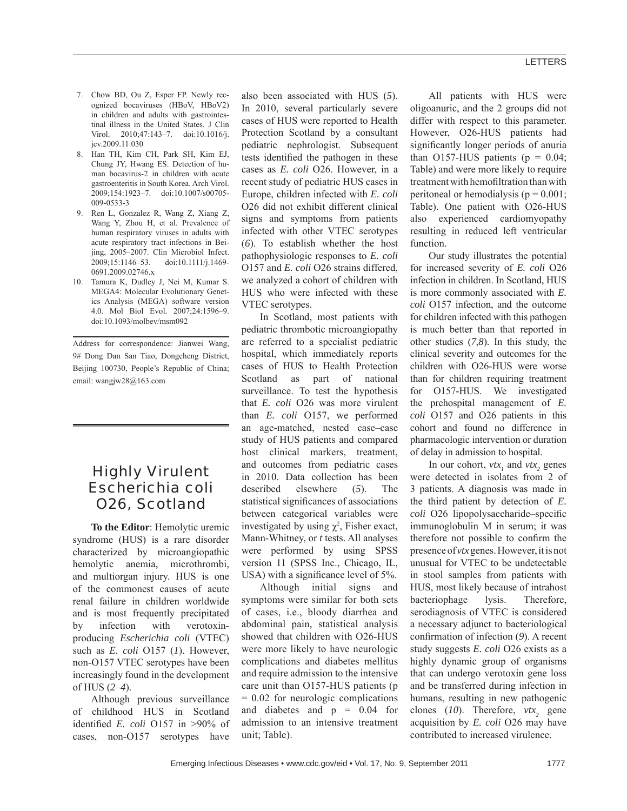- 7. Chow BD, Ou Z, Esper FP. Newly recognized bocaviruses (HBoV, HBoV2) in children and adults with gastrointestinal illness in the United States. J Clin Virol. 2010;47:143–7. doi:10.1016/j. jcv.2009.11.030
- 8. Han TH, Kim CH, Park SH, Kim EJ, Chung JY, Hwang ES. Detection of human bocavirus-2 in children with acute gastroenteritis in South Korea. Arch Virol. 2009;154:1923–7. doi:10.1007/s00705- 009-0533-3
- 9. Ren L, Gonzalez R, Wang Z, Xiang Z, Wang Y, Zhou H, et al. Prevalence of human respiratory viruses in adults with acute respiratory tract infections in Beijing, 2005–2007. Clin Microbiol Infect. 2009;15:1146–53. doi:10.1111/j.1469- 0691.2009.02746.x
- 10. Tamura K, Dudley J, Nei M, Kumar S. MEGA4: Molecular Evolutionary Genetics Analysis (MEGA) software version 4.0. Mol Biol Evol. 2007;24:1596–9. doi:10.1093/molbev/msm092

Address for correspondence: Jianwei Wang, 9# Dong Dan San Tiao, Dongcheng District, Beijing 100730, People's Republic of China; email: wangjw28@163.com

# Highly Virulent *Escherichia coli* O26, Scotland

**To the Editor**: Hemolytic uremic syndrome (HUS) is a rare disorder characterized by microangiopathic hemolytic anemia, microthrombi, and multiorgan injury. HUS is one of the commonest causes of acute renal failure in children worldwide and is most frequently precipitated by infection with verotoxinproducing *Escherichia coli* (VTEC) such as *E. coli* O157 (*1*). However, non-O157 VTEC serotypes have been increasingly found in the development of HUS (*2*–*4*).

Although previous surveillance of childhood HUS in Scotland identified *E. coli* O157 in >90% of cases, non-O157 serotypes have

also been associated with HUS (*5*). In 2010, several particularly severe cases of HUS were reported to Health Protection Scotland by a consultant pediatric nephrologist. Subsequent tests identified the pathogen in these cases as *E. coli* O26. However, in a recent study of pediatric HUS cases in Europe, children infected with *E. coli* O26 did not exhibit different clinical signs and symptoms from patients infected with other VTEC serotypes (*6*). To establish whether the host pathophysiologic responses to *E. coli* O157 and *E. coli* O26 strains differed, we analyzed a cohort of children with HUS who were infected with these VTEC serotypes.

In Scotland, most patients with pediatric thrombotic microangiopathy are referred to a specialist pediatric hospital, which immediately reports cases of HUS to Health Protection Scotland as part of national surveillance. To test the hypothesis that *E. coli* O26 was more virulent than *E. coli* O157, we performed an age-matched, nested case–case study of HUS patients and compared host clinical markers, treatment, and outcomes from pediatric cases in 2010. Data collection has been described elsewhere (*5*). The statistical significances of associations between categorical variables were investigated by using  $\chi^2$ , Fisher exact, Mann-Whitney, or *t* tests. All analyses were performed by using SPSS version 11 (SPSS Inc., Chicago, IL, USA) with a significance level of  $5\%$ .

Although initial signs and symptoms were similar for both sets of cases, i.e., bloody diarrhea and abdominal pain, statistical analysis showed that children with O26-HUS were more likely to have neurologic complications and diabetes mellitus and require admission to the intensive care unit than O157-HUS patients (p = 0.02 for neurologic complications and diabetes and  $p = 0.04$  for admission to an intensive treatment unit; Table).

All patients with HUS were oligoanuric, and the 2 groups did not differ with respect to this parameter. However, O26-HUS patients had significantly longer periods of anuria than O157-HUS patients ( $p = 0.04$ ; Table) and were more likely to require treatment with hemofiltration than with peritoneal or hemodialysis ( $p = 0.001$ ; Table). One patient with O26-HUS also experienced cardiomyopathy resulting in reduced left ventricular function.

Our study illustrates the potential for increased severity of *E. coli* O26 infection in children. In Scotland, HUS is more commonly associated with *E. coli* O157 infection, and the outcome for children infected with this pathogen is much better than that reported in other studies (*7*,*8*). In this study, the clinical severity and outcomes for the children with O26-HUS were worse than for children requiring treatment for O157-HUS. We investigated the prehospital management of *E. coli* O157 and O26 patients in this cohort and found no difference in pharmacologic intervention or duration of delay in admission to hospital.

In our cohort,  $vtx_1$  and  $vtx_2$  genes were detected in isolates from 2 of 3 patients. A diagnosis was made in the third patient by detection of *E. coli* O26 lipopolysaccharide–specific immunoglobulin M in serum; it was therefore not possible to confirm the presence of *vtx* genes. However, it is not unusual for VTEC to be undetectable in stool samples from patients with HUS, most likely because of intrahost bacteriophage lysis. Therefore, serodiagnosis of VTEC is considered a necessary adjunct to bacteriological confirmation of infection (9). A recent study suggests *E. coli* O26 exists as a highly dynamic group of organisms that can undergo verotoxin gene loss and be transferred during infection in humans, resulting in new pathogenic clones ( $10$ ). Therefore,  $vtx_2$  gene acquisition by *E. coli* O26 may have contributed to increased virulence.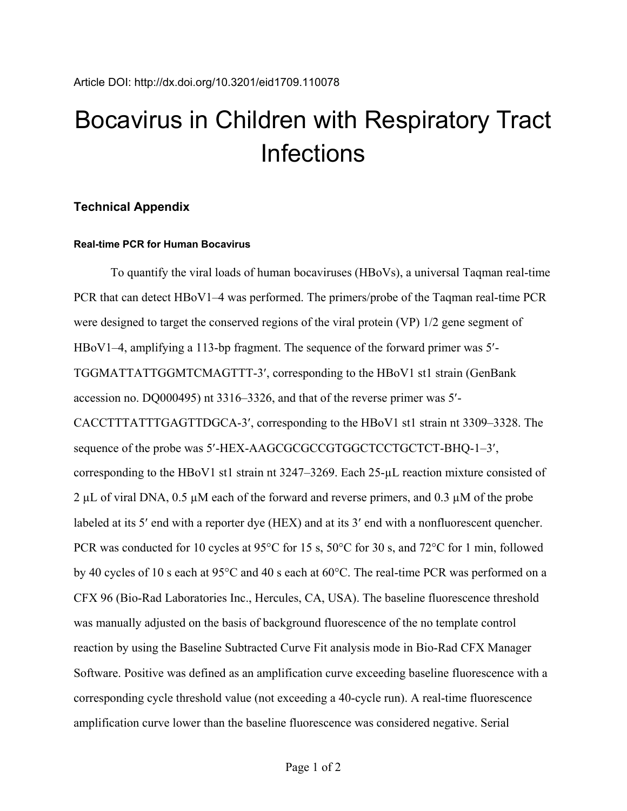# Bocavirus in Children with Respiratory Tract **Infections**

## **Technical Appendix**

## **Real-time PCR for Human Bocavirus**

To quantify the viral loads of human bocaviruses (HBoVs), a universal Taqman real-time PCR that can detect HBoV1–4 was performed. The primers/probe of the Taqman real-time PCR were designed to target the conserved regions of the viral protein (VP) 1/2 gene segment of HBoV1–4, amplifying a 113-bp fragment. The sequence of the forward primer was 5′- TGGMATTATTGGMTCMAGTTT-3′, corresponding to the HBoV1 st1 strain (GenBank accession no. DQ000495) nt 3316–3326, and that of the reverse primer was 5′- CACCTTTATTTGAGTTDGCA-3′, corresponding to the HBoV1 st1 strain nt 3309–3328. The sequence of the probe was 5′-HEX-AAGCGCGCCGTGGCTCCTGCTCT-BHQ-1–3′, corresponding to the HBoV1 st1 strain nt 3247–3269. Each 25-µL reaction mixture consisted of 2  $\mu$ L of viral DNA, 0.5  $\mu$ M each of the forward and reverse primers, and 0.3  $\mu$ M of the probe labeled at its 5′ end with a reporter dye (HEX) and at its 3′ end with a nonfluorescent quencher. PCR was conducted for 10 cycles at 95°C for 15 s, 50°C for 30 s, and 72°C for 1 min, followed by 40 cycles of 10 s each at 95°C and 40 s each at 60°C. The real-time PCR was performed on a CFX 96 (Bio-Rad Laboratories Inc., Hercules, CA, USA). The baseline fluorescence threshold was manually adjusted on the basis of background fluorescence of the no template control reaction by using the Baseline Subtracted Curve Fit analysis mode in Bio-Rad CFX Manager Software. Positive was defined as an amplification curve exceeding baseline fluorescence with a corresponding cycle threshold value (not exceeding a 40-cycle run). A real-time fluorescence amplification curve lower than the baseline fluorescence was considered negative. Serial